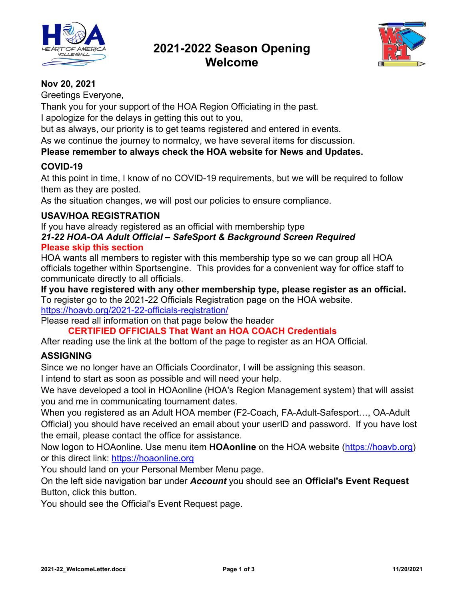

# **2021-2022 Season Opening Welcome**



## **Nov 20, 2021**

Greetings Everyone,

Thank you for your support of the HOA Region Officiating in the past.

I apologize for the delays in getting this out to you,

but as always, our priority is to get teams registered and entered in events.

As we continue the journey to normalcy, we have several items for discussion.

## **Please remember to always check the HOA website for News and Updates.**

## **COVID-19**

At this point in time, I know of no COVID-19 requirements, but we will be required to follow them as they are posted.

As the situation changes, we will post our policies to ensure compliance.

### **USAV/HOA REGISTRATION**

If you have already registered as an official with membership type

### *21-22 HOA-OA Adult Official – SafeSport & Background Screen Required*  **Please skip this section**

HOA wants all members to register with this membership type so we can group all HOA officials together within Sportsengine. This provides for a convenient way for office staff to communicate directly to all officials.

**If you have registered with any other membership type, please register as an official.**  To register go to the 2021-22 Officials Registration page on the HOA website. https://hoavb.org/2021-22-officials-registration/

Please read all information on that page below the header

**CERTIFIED OFFICIALS That Want an HOA COACH Credentials** 

After reading use the link at the bottom of the page to register as an HOA Official.

## **ASSIGNING**

Since we no longer have an Officials Coordinator, I will be assigning this season.

I intend to start as soon as possible and will need your help.

We have developed a tool in HOAonline (HOA's Region Management system) that will assist you and me in communicating tournament dates.

When you registered as an Adult HOA member (F2-Coach, FA-Adult-Safesport…, OA-Adult Official) you should have received an email about your userID and password. If you have lost the email, please contact the office for assistance.

Now logon to HOAonline. Use menu item **HOAonline** on the HOA website (https://hoavb.org) or this direct link: https://hoaonline.org

You should land on your Personal Member Menu page.

On the left side navigation bar under *Account* you should see an **Official's Event Request**  Button, click this button.

You should see the Official's Event Request page.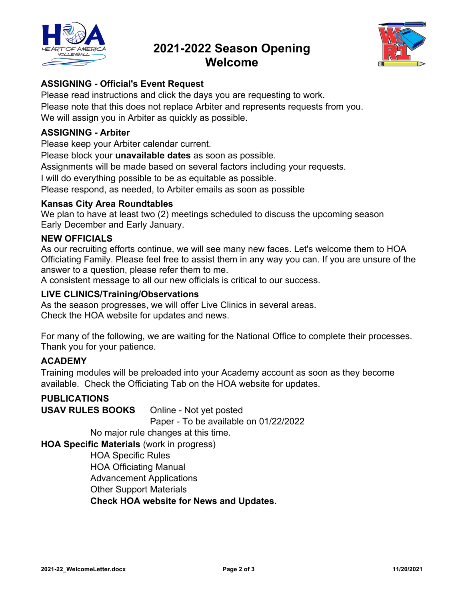

## **2021-2022 Season Opening Welcome**



## **ASSIGNING - Official's Event Request**

Please read instructions and click the days you are requesting to work. Please note that this does not replace Arbiter and represents requests from you. We will assign you in Arbiter as quickly as possible.

### **ASSIGNING - Arbiter**

Please keep your Arbiter calendar current.

Please block your **unavailable dates** as soon as possible.

Assignments will be made based on several factors including your requests.

I will do everything possible to be as equitable as possible.

Please respond, as needed, to Arbiter emails as soon as possible

### **Kansas City Area Roundtables**

We plan to have at least two (2) meetings scheduled to discuss the upcoming season Early December and Early January.

### **NEW OFFICIALS**

As our recruiting efforts continue, we will see many new faces. Let's welcome them to HOA Officiating Family. Please feel free to assist them in any way you can. If you are unsure of the answer to a question, please refer them to me.

A consistent message to all our new officials is critical to our success.

### **LIVE CLINICS/Training/Observations**

As the season progresses, we will offer Live Clinics in several areas. Check the HOA website for updates and news.

For many of the following, we are waiting for the National Office to complete their processes. Thank you for your patience.

### **ACADEMY**

Training modules will be preloaded into your Academy account as soon as they become available. Check the Officiating Tab on the HOA website for updates.

### **PUBLICATIONS**

**USAV RULES BOOKS** Online - Not yet posted Paper - To be available on 01/22/2022

No major rule changes at this time.

**HOA Specific Materials** (work in progress)

 HOA Specific Rules HOA Officiating Manual Advancement Applications Other Support Materials **Check HOA website for News and Updates.**